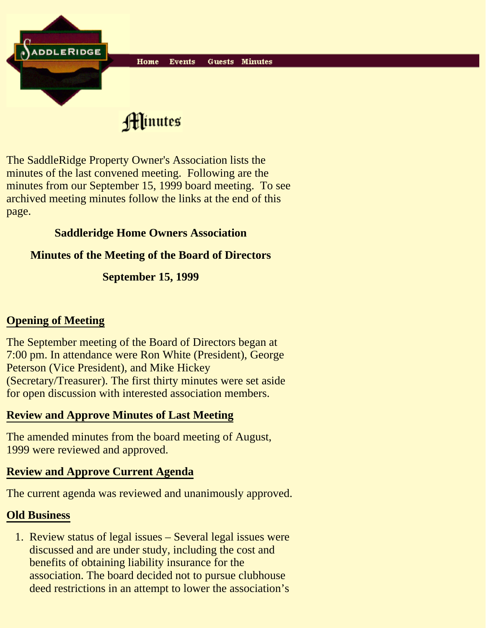

Hinutes

The SaddleRidge Property Owner's Association lists the minutes of the last convened meeting. Following are the minutes from our September 15, 1999 board meeting. To see archived meeting minutes follow the links at the end of this page.

## **Saddleridge Home Owners Association**

## **Minutes of the Meeting of the Board of Directors**

# **September 15, 1999**

# **Opening of Meeting**

The September meeting of the Board of Directors began at 7:00 pm. In attendance were Ron White (President), George Peterson (Vice President), and Mike Hickey (Secretary/Treasurer). The first thirty minutes were set aside for open discussion with interested association members.

# **Review and Approve Minutes of Last Meeting**

The amended minutes from the board meeting of August, 1999 were reviewed and approved.

# **Review and Approve Current Agenda**

The current agenda was reviewed and unanimously approved.

## **Old Business**

1. Review status of legal issues - Several legal issues were discussed and are under study, including the cost and benefits of obtaining liability insurance for the association. The board decided not to pursue clubhouse deed restrictions in an attempt to lower the association's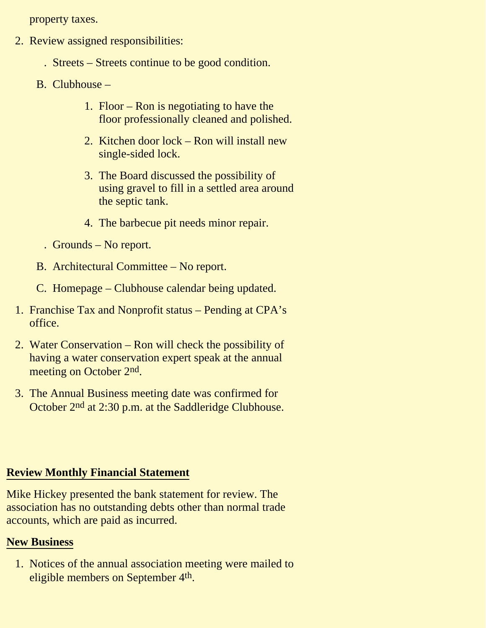property taxes.

- 2. Review assigned responsibilities:
	- . Streets Streets continue to be good condition.
	- B. Clubhouse
		- 1. Floor Ron is negotiating to have the floor professionally cleaned and polished.
		- 2. Kitchen door lock Ron will install new single-sided lock.
		- 3. The Board discussed the possibility of using gravel to fill in a settled area around the septic tank.
		- 4. The barbecue pit needs minor repair.
		- . Grounds No report.
	- B. Architectural Committee No report.
	- C. Homepage Clubhouse calendar being updated.
- 1. Franchise Tax and Nonprofit status Pending at CPA's office.
- 2. Water Conservation Ron will check the possibility of having a water conservation expert speak at the annual meeting on October 2nd.
- 3. The Annual Business meeting date was confirmed for October 2nd at 2:30 p.m. at the Saddleridge Clubhouse.

#### **Review Monthly Financial Statement**

Mike Hickey presented the bank statement for review. The association has no outstanding debts other than normal trade accounts, which are paid as incurred.

#### **New Business**

1. Notices of the annual association meeting were mailed to eligible members on September 4th.